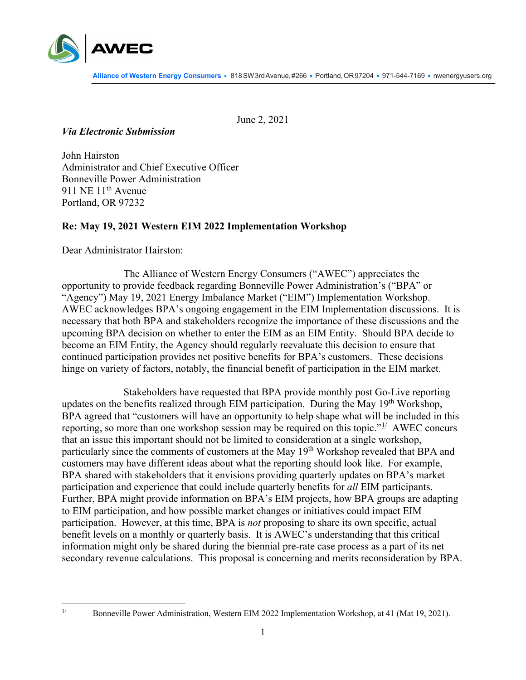

June 2, 2021

## *Via Electronic Submission*

John Hairston Administrator and Chief Executive Officer Bonneville Power Administration 911 NE 11<sup>th</sup> Avenue Portland, OR 97232

## **Re: May 19, 2021 Western EIM 2022 Implementation Workshop**

Dear Administrator Hairston:

The Alliance of Western Energy Consumers ("AWEC") appreciates the opportunity to provide feedback regarding Bonneville Power Administration's ("BPA" or "Agency") May 19, 2021 Energy Imbalance Market ("EIM") Implementation Workshop. AWEC acknowledges BPA's ongoing engagement in the EIM Implementation discussions. It is necessary that both BPA and stakeholders recognize the importance of these discussions and the upcoming BPA decision on whether to enter the EIM as an EIM Entity. Should BPA decide to become an EIM Entity, the Agency should regularly reevaluate this decision to ensure that continued participation provides net positive benefits for BPA's customers. These decisions hinge on variety of factors, notably, the financial benefit of participation in the EIM market.

Stakeholders have requested that BPA provide monthly post Go-Live reporting updates on the benefits realized through EIM participation. During the May 19<sup>th</sup> Workshop, BPA agreed that "customers will have an opportunity to help shape what will be included in this reporting, so more than one workshop session may be required on this topic." $1/2$  $1/2$  AWEC concurs that an issue this important should not be limited to consideration at a single workshop, particularly since the comments of customers at the May 19<sup>th</sup> Workshop revealed that BPA and customers may have different ideas about what the reporting should look like. For example, BPA shared with stakeholders that it envisions providing quarterly updates on BPA's market participation and experience that could include quarterly benefits for *all* EIM participants. Further, BPA might provide information on BPA's EIM projects, how BPA groups are adapting to EIM participation, and how possible market changes or initiatives could impact EIM participation. However, at this time, BPA is *not* proposing to share its own specific, actual benefit levels on a monthly or quarterly basis. It is AWEC's understanding that this critical information might only be shared during the biennial pre-rate case process as a part of its net secondary revenue calculations. This proposal is concerning and merits reconsideration by BPA.

<span id="page-0-0"></span><sup>&</sup>lt;sup>1/</sup> Bonneville Power Administration, Western EIM 2022 Implementation Workshop, at 41 (Mat 19, 2021).